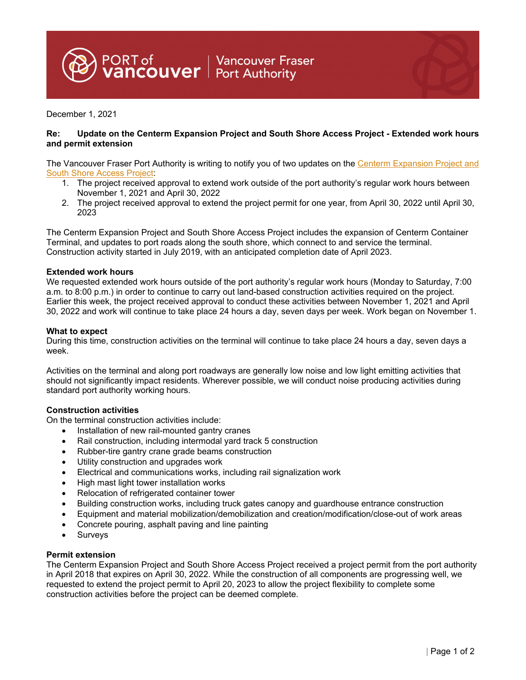PORT of Unancouver Fraser<br>**Vancouver** Port Authority

December 1, 2021

# **Re: Update on the Centerm Expansion Project and South Shore Access Project - Extended work hours and permit extension**

The Vancouver Fraser Port Authority is writing to notify you of two updates on the Centerm Expansion Project and South Shore Access Project:

- 1. The project received approval to extend work outside of the port authority's regular work hours between November 1, 2021 and April 30, 2022
- 2. The project received approval to extend the project permit for one year, from April 30, 2022 until April 30, 2023

The Centerm Expansion Project and South Shore Access Project includes the expansion of Centerm Container Terminal, and updates to port roads along the south shore, which connect to and service the terminal. Construction activity started in July 2019, with an anticipated completion date of April 2023.

# **Extended work hours**

We requested extended work hours outside of the port authority's regular work hours (Monday to Saturday, 7:00 a.m. to 8:00 p.m.) in order to continue to carry out land-based construction activities required on the project. Earlier this week, the project received approval to conduct these activities between November 1, 2021 and April 30, 2022 and work will continue to take place 24 hours a day, seven days per week. Work began on November 1.

#### **What to expect**

During this time, construction activities on the terminal will continue to take place 24 hours a day, seven days a week.

Activities on the terminal and along port roadways are generally low noise and low light emitting activities that should not significantly impact residents. Wherever possible, we will conduct noise producing activities during standard port authority working hours.

# **Construction activities**

On the terminal construction activities include:

- Installation of new rail-mounted gantry cranes
- Rail construction, including intermodal yard track 5 construction
- Rubber-tire gantry crane grade beams construction
- Utility construction and upgrades work
- Electrical and communications works, including rail signalization work
- High mast light tower installation works
- Relocation of refrigerated container tower
- Building construction works, including truck gates canopy and guardhouse entrance construction
- Equipment and material mobilization/demobilization and creation/modification/close-out of work areas
- Concrete pouring, asphalt paving and line painting
- Surveys

# **Permit extension**

The Centerm Expansion Project and South Shore Access Project received a project permit from the port authority in April 2018 that expires on April 30, 2022. While the construction of all components are progressing well, we requested to extend the project permit to April 20, 2023 to allow the project flexibility to complete some construction activities before the project can be deemed complete.